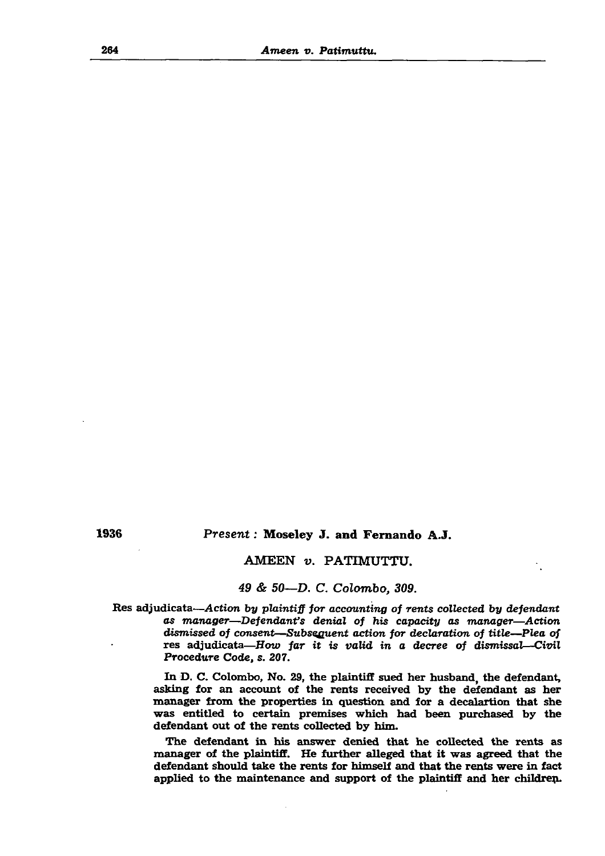#### 264 *Ameen v. Patimuttu.*

 $\sim$ 

# 1936 *Present:* Moseley J. and Fernando A.J.

# AMEEN *v.* PATIMUTTU.

# *49 & 50*—*D. C. Colombo, 309.*

Res adjudicata—*Action by plaintiff for accounting of rents collected by defendant as manager*—*Defendant's denial of his capacity as manager—Action dismissed of consent—Subsequent action for declaration of title—Plea of* res adjudicata—*How far it is valid in a decree of dismissal—Civil* Procedure Code, s. 207.

In D. C. Colombo, No. 29, the plaintiff sued her husband, the defendant, asking for an account of the rents received by the defendant as her manager from the properties in question and for a decalartion that she was entitled to certain premises which had been purchased by the defendant out of the rents collected by him.

The defendant in his answer denied that he collected the rents as manager of the plaintiff. He further alleged that it was agreed that the defendant should take the rents for himself and that the rents were in fact applied to the maintenance and support of the plaintiff and her childrep.

 $\bullet$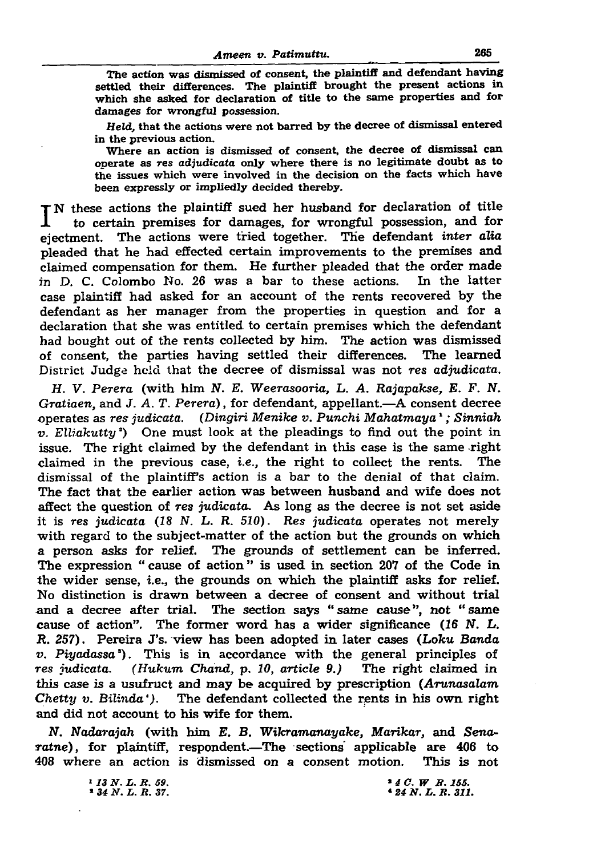## *Ameen v. Patimuttu.* 265

The action was dismissed of consent, the plaintiff and defendant having settled their differences. The plaintiff brought the present actions in which she asked for declaration of title to the same properties and for damages for wrongful possession.

*Held,* that the actions were not barred by the decree of dismissal entered in the previous action.

Where an action is dismissed of consent, the decree of dismissal can operate as res adjudicate only where there is no legitimate doubt as to the issues which were involved in the decision on the facts which have been expressly or impliedly decided thereby.

I N these actions the plaintiff sued her husband for declaration of title to certain premises for damages, for wrongful possession, and for to certain premises for damages, for wrongful possession, and for ejectment. The actions were tried together. The defendant *inter alia* pleaded that he had effected certain improvements to the premises and claimed compensation for them. He further pleaded that the order made in D. C. Colombo No. 26 was a bar to these actions. In the latter case plaintiff had asked for an account of the rents recovered by the defendant as her manager from the properties in question and for a declaration that she was entitled to certain premises which the defendant had bought out of the rents collected by him. The action was dismissed of consent, the parties having settled their differences. The learned District Judge held that the decree of dismissal was not *res adjudicata.*

*H. V. Perera* (with him *N. E. Weerasooria, L. A. Rajapakse, E. F. N. Gratiaen,* and J. *A. T. Perera)*, for defendant, appellant.—A consent decree operates as *res judicata. (Dingiri Menike v. Punchi Mahatmaya1; Sinniah v. Elliakutty*!) One must look at the pleadings to find out the point in issue. The right claimed by the defendant in this case is the same right claimed in the previous case, *i.e.,* the right to collect the rents. The dismissal of the plaintiff's action is a bar to the denial of that claim. The fact that the earlier action was between husband and wife does not affect the question of *res* judicata. As long as the decree is not set aside it is *res judicata* (18 *N. L. R. 510). Res judicata* operates not merely with regard to the subject-matter of the action but the grounds on which a person asks for relief. The grounds of settlement can be inferred. The expression " cause of action " is used in section 207 of the Code in the wider sense, i.e., the grounds on which the plaintiff asks for relief. No distinction is drawn between a decree of consent and without trial and a decree after trial. The section says " same cause", not " same cause of action". The former word has a wider significance (16 N. L. *R. 257)*. Pereira J's. view has been adopted in later cases (*Loku Banda v. Piyadassa').* This is in accordance with the general principles of *res judicata. (Hukum Chand, p. 10, article 9.)* The right claimed in this case is a usufruct and may be acquired by prescription (*Arunasalam*

*Chetty v. Bilinda').* The defendant collected the rents in his own right and did not account to his wife for them.

*N. Nadarajah* (with him *E. B. Wikramanayake, Marikar,* and *Senaratne),* for plaintiff, respondent.—The sections applicable are 406 to 408 where an action is dismissed on a consent motion. This is not

> *1 13 N . L . B . 59.* \* *34 N . L . B . 37.*

*\* 4 C. W B . 155.* \* *24 N . L . B . 311.*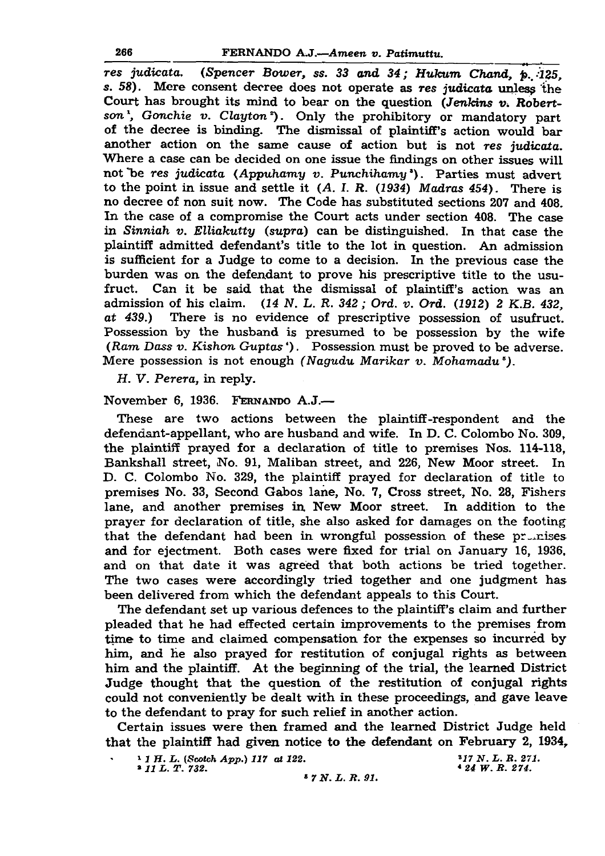*res judicata. (Spencer Bower, ss. 33 and 34; HuJcum Ckand, p..:125, s. 58).* Mere consent decree does not operate as *res judicata* unless 'the Court has brought its mind to bear on the question *(Jenkins v. Robert*son<sup>1</sup>, Gonchie v. Clayton<sup>2</sup>). Only the prohibitory or mandatory part of the decree is binding. The dismissal of plaintiff's action would bar another action on the same cause of action but is not *res judicata.* Where a case can be decided on one issue the findings on other issues will not Tie *res judicata (Appuhamy v. Punchihamy').* Parties must advert to the point in issue and settle it *(A. I. R. (1934) Madras 454).* There is no decree of non suit now. The Code has substituted sections 207 and 408. In the case of a compromise the Court acts under section 408. The case in *Sinniah v. Elliakutty (supra)* can be distinguished. In that case the plaintiff admitted defendant's title to the lot in question. An admission is sufficient for a Judge to come to a decision. In the previous case the burden was on the defendant to prove his prescriptive title to the usufruct. Can it be said that the dismissal of plaintiff's action was an admission of his claim. *(14 N. L. R. 342; Ord. v. Ord. (1912) 2 K.B. 432, at 439.)* There is no evidence of prescriptive possession of usufruct. Possession by the husband is presumed to be possession by the wife (Ram *Dass v. Kishon Guptas* '). Possession must be proved to be adverse. Mere possession is not enough *(Nagudu Marikar v. Mohamadu°).*

*H. V. Perera,* in reply.

November 6, 1936. F ernando A.J.—

These are two actions between the plaintiff-respondent and the defendant-appellant, who are husband and wife. In D. C. Colombo No. 309, the plaintiff prayed for a declaration of title to premises Nos. 114-118, Bankshall street, No. 91, Maliban street, and 226, New Moor street. In D. C. Colombo No. 329, the plaintiff prayed for declaration of title to premises No. 33, Second Gabos lane, No. 7, Cross street, No. 28, Fishers lane, and another premises in New Moor street. In addition to the prayer for declaration of title, she also asked for damages on the footing that the defendant had been in wrongful possession of these  $pr\rightleftharpoons$ and for ejectment. Both cases were fixed for trial on January 16, 1936, and on that date it was agreed that both actions be tried together. The two cases were accordingly tried together and one judgment has been delivered from which the defendant appeals to this Court. The defendant set up various defences to the plaintiff's claim and further pleaded that he had effected certain improvements to the premises from time to time and claimed compensation for the expenses so incurred by him, and he also prayed for restitution of conjugal rights as between him and the plaintiff. At the beginning of the trial, the learned District Judge thought that the question of the restitution of conjugal rights could not conveniently be dealt with in these proceedings, and gave leave to the defendant to pray for such relief in another action. Certain issues were then framed and the learned District Judge held that the plaintiff had given notice to the defendant on February 2, 1934, 1 1 H. L. (Scotch App.) 117 at 122.<br> **2** 11 L. T. 732.<br> **24 W. R. 274.** 

» *11 L . T . 732.* \* *24 W . R . 274.*

\* *7 N . L . R . 91.*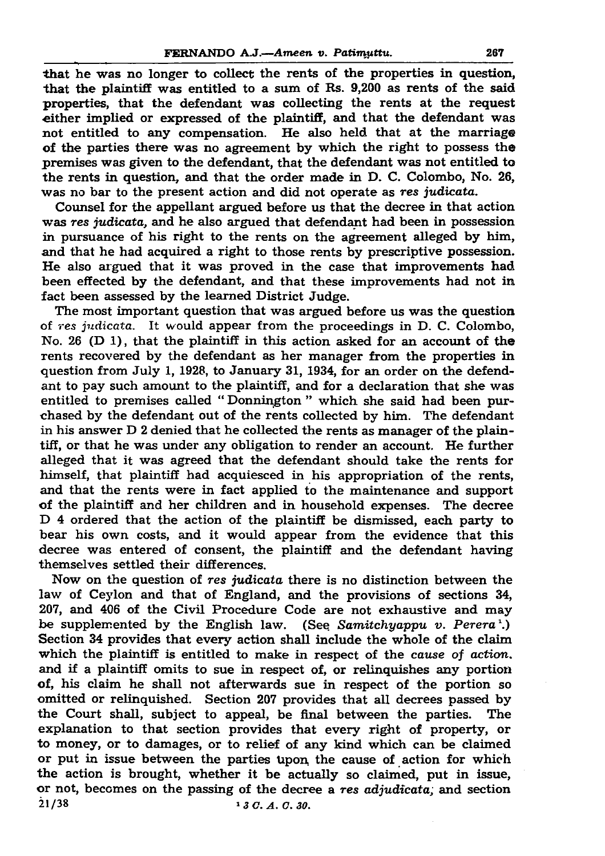that he was no longer to collect the rents of the properties in question, that the plaintiff was entitled to a sum of Rs. 9,200 as rents of the said properties, that the defendant was collecting the rents at the request either implied or expressed of the plaintiff, and that the defendant was not entitled to any compensation. He also held that at the marriage of the parties there was no agreement by which the right to possess the premises was given to the defendant, that the defendant was not entitled to the rents in question, and that the order made in D. C. Colombo, No. 26, was no bar to the present action and did not operate as *res judicata.*

Counsel for the appellant argued before us that the decree in that action was *res judicata*, and he also argued that defendant had been in possession

in pursuance of his right to the rents on the agreement alleged by him, and that he had acquired a right to those rents by prescriptive possession. He also argued that it was proved in the case that improvements had been effected by the defendant, and that these improvements had not in fact been assessed by the learned District Judge.

The most important question that was argued before us was the question of *res judicata.* It would appear from the proceedings in D. C. Colombo, No. 26 (D 1), that the plaintiff in this action asked for an account of the rents recovered by the defendant as her manager from the properties in question from July 1, 1928, to January 31, 1934, for an order on the defendant to pay such amount to the plaintiff, and for a declaration that she was entitled to premises called " Donnington " which she said had been purchased by the defendant out of the rents collected by him. The defendant in his answer D 2 denied that he collected the rents as manager of the plaintiff, or that he was under any obligation to render an account. He further alleged that it was agreed that the defendant should take the rents for himself, that plaintiff had acquiesced in his appropriation of the rents, and that the rents were in fact applied to the maintenance and support of the plaintiff and her children and in household expenses. The decree D 4 ordered that the action of the plaintiff be dismissed, each party to bear his own costs, and it would appear from the evidence that this decree was entered of consent, the plaintiff and the defendant having themselves settled their differences. Now on the question of *res judicata* there is no distinction between the law of Ceylon and that of England, and the provisions of sections 34, 207, and 406 of the Civil Procedure Code are not exhaustive and may be supplemented by the English law. (See Samitchyappu v. Perera<sup>1</sup>.) Section 34 provides that every action shall include the whole of the claim which the plaintiff is entitled to make in respect of the *cause of action.* and if a plaintiff omits to sue in respect of, or relinquishes any portion of, his claim he shall not afterwards sue in respect of the portion so omitted or relinquished. Section 207 provides that all decrees passed by the Court shall, subject to appeal, be final between the parties. The explanation to that section provides that every right of property, or to money, or to damages, or to relief of any kind which can be claimed or put in issue between the parties Upon, the cause of action for which the action is brought, whether it be actually so claimed, put in issue, or not, becomes on the passing of the decree a *res adjudicata;* and section 21/38 *1 3 C. A. C. 30.*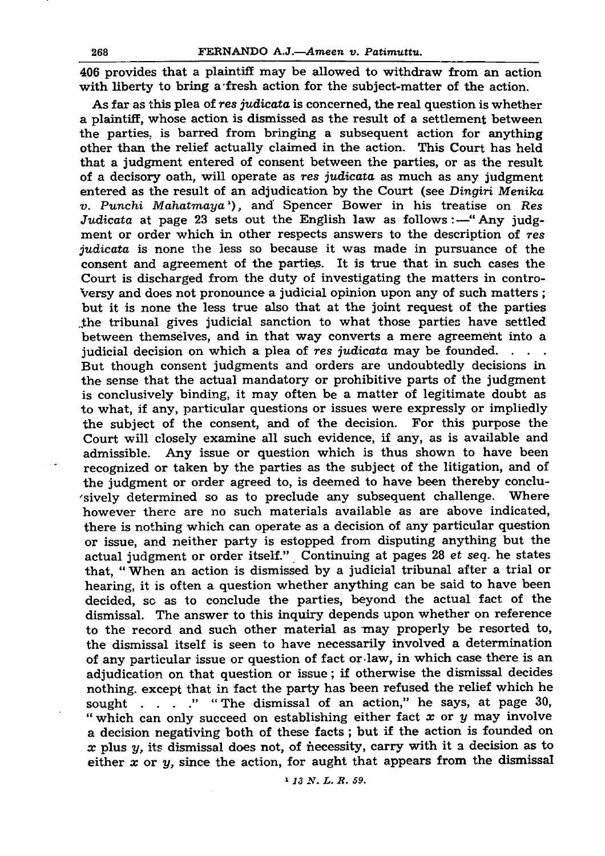406 provides that a plaintiff may be allowed to withdraw from an action with liberty to bring a fresh action for the subject-matter of the action.

As far as this plea of res *judicata* is concerned, the real question is whether a plaintiff, whose action is dismissed as the result of a settlement between the parties, is barred from bringing a subsequent action for anything other than the relief actually claimed in the action. This Court has held that a judgment entered of consent between the parties, or as the result of a decisory oath, will operate as *res judicata* as much as any judgment entered as the result of an adjudication by the Court (see *Dingiri Menika v. Punchi Mahatmaya<sup>1</sup>*, and Spencer Bower in his treatise on *Res Judicata* at page 23 sets out the English law as follows:—"Any judgment or order which in other respects answers to the description of *res judicata* is none the less so because it was made in pursuance of the consent and agreement of the parties. It is true that in such cases the Court is discharged from the duty of investigating the matters in controversy and does not pronounce a judicial opinion upon any of such matters ; but it is none the less true also that at the joint request of the parties the tribunal gives judicial sanction to what those parties have settled between themselves, and in that way converts a mere agreement into a judicial decision on which a plea of *res judicata* may be founded. . . . But though consent judgments and orders are undoubtedly decisions in the sense that the actual mandatory or prohibitive parts of the judgment is conclusively binding, it may often be a matter of legitimate doubt as to what, if any, particular questions or issues were expressly or impliedly the subject of the consent, and of the decision. For this purpose the Court will closely examine all such evidence, if any, as is available and admissible. Any issue or question which is thus shown to have been recognized or taken by the parties as the subject of the litigation, and of the judgment or order agreed to, is deemed to have been thereby conclusively determined so as to preclude any subsequent challenge. Where however there are no such materials available as are above indicated, there is nothing which can operate as a decision of any particular question or issue, and neither party is estopped from disputing anything but the actual judgment or order itself." Continuing at pages 28 *et seq.* he states that, " When an action is dismissed by a judicial tribunal after a trial or hearing, it is often a question whether anything can be said to have been decided, so as to conclude the parties, beyond the actual fact of the dismissal. The answer to this inquiry depends upon whether on reference to the record and such other material as may properly be resorted to, the dismissal itself is seen to have necessarily involved a determination of any particular issue or question of fact or-law, in which case there is an adjudication on that question or issue; if otherwise the dismissal decides nothing, except that in fact the party has been refused the relief which he sought . . . . " The dismissal of an action," he says, at page 30, " which can only succeed on establishing either fact *x* or *y* may involve a decision negativing both of these facts ; but if the action is founded on x plus y, its dismissal does not, of necessity, carry with it a decision as to either *x* or *y,* since the action, for aught that appears from the dismissal

*«1 3 N . L . R . 59.*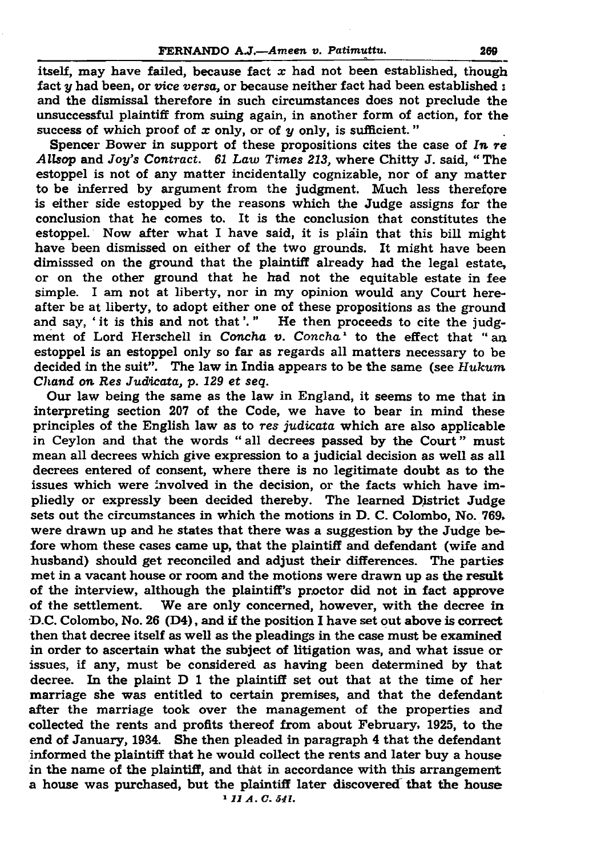itself, may have failed, because fact  $x$  had not been established, though fact *y* had been, or *vice versa,* or because neither fact had been established : and the dismissal therefore in such circumstances does not preclude the unsuccessful plaintiff from suing again, in another form of action, for the success of which proof of *x* only, or of *y* only, is sufficient. "

Spencer Bower in support of these propositions cites the case of *In re Allsop* and *Joy's Contract. 61 Law Times 213,* where Chitty J. said, " The estoppel is not of any matter incidentally cognizable, nor of any matter to be inferred by argument from the judgment. Much less therefore is either side estopped by the reasons which the Judge assigns for the conclusion that he comes to. It is the conclusion that constitutes the estoppel. Now after what I have said, it is pla'in that this bill might have been dismissed on either of the two grounds. It might have been dimisssed on the ground that the plaintiff already had the legal estate, or on the other ground that he had not the equitable estate in fee simple. I am not at liberty, nor in my opinion would any Court hereafter be at liberty, to adopt either one of these propositions as the ground and say, 'it is this and not that'." He then proceeds to cite the judgment of Lord Herschell in *Concha v. Concha*<sup>1</sup> to the effect that "an estoppel is an estoppel only so far as regards all matters necessary to be decided in the suit". The law in India appears to be the same (see *Hukum Chand on Res Judicata, p. 129 et seq.* Our law being the same as the law in England, it seems to me that in interpreting section 207 of the Code, we have to bear in mind these principles of the English law as to *res judicata* which are also applicable in Ceylon and that the words " all decrees passed by the Court " must mean all decrees which give expression to a judicial decision as well as all decrees entered of consent, where there is no legitimate doubt as to the issues which were involved in the decision, or the facts which have impliedly or expressly been decided thereby. The learned District Judge sets out the circumstances in which the motions in D. C. Colombo, No. 769. were drawn up and he states that there was a suggestion by the Judge before whom these cases came up, that the plaintiff and defendant (wife and husband) should get reconciled and adjust their differences. The parties met in a vacant house or room and the motions were drawn up as the result of the interview, although the plaintiff's proctor did not in fact approve of the settlement. We are only concerned, however, with the decree in D.C. Colombo, No. 26 (D4), and if the position I have set out above is correct then that decree itself as well as the pleadings in the case must be examined in order to ascertain what the subject of litigation was, and what issue or issues, if any, must be considered as having been determined by that decree. In the plaint D 1 the plaintiff set out that at the time of her marriage she was entitled to certain premises, and that the defendant after the marriage took over the management of the properties and collected the rents and profits thereof from about February, 1925, to the end of January, 1934. She then pleaded in paragraph 4 that the defendant informed the plaintiff that he would collect the rents and later buy a house in the name of the plaintiff, and that in accordance with this arrangement a house was purchased, but the plaintiff later discovered that the house <sup>1</sup> *11 A. C. 541.*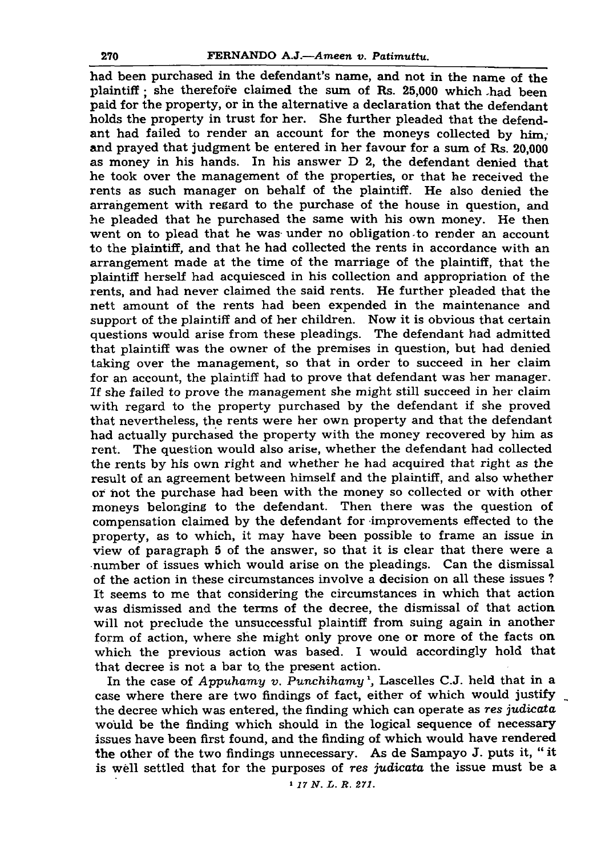had been purchased in the defendant's name, and not in the name of the plaintiff: she therefore claimed the sum of Rs. 25,000 which .had been paid for the property, or in the alternative a declaration that the defendant holds the property in trust for her. She further pleaded that the defendant had failed to render an account for the moneys collected by him; and prayed that judgment be entered in her favour for a sum of Rs. 20,000 as money in his hands. In his answer D 2, the defendant denied that he took over the management of the properties, or that he received the rents as such manager on behalf of the plaintiff. He also denied the arrangement with regard to the purchase of the house in question, and he pleaded that he purchased the same with his own money. He then went on to plead that he was under no obligation to render an account to the plaintiff, and that he had collected the rents in accordance with an arrangement made at the time of the marriage of the plaintiff, that the plaintiff herself had acquiesced in his collection and appropriation of the rents, and had never claimed the said rents. He further pleaded that the nett amount of the rents had been expended in the maintenance and support of the plaintiff and of her children. Now it is obvious that certain questions would arise from these pleadings. The defendant had admitted that plaintiff was the owner of the premises in question, but had denied taking over the management, so that in order to succeed in her claim for an account, the plaintiff had to prove that defendant was her manager. If she failed to prove the management she might still succeed in her claim with regard to the property purchased by the defendant if she proved that nevertheless, the rents were her own property and that the defendant had actually purchased the property with the money recovered by him as rent. The question would also arise, whether the defendant had collected the rents by his own right and whether he had acquired that right as the result of an agreement between himself and the plaintiff, and also whether or hot the purchase had been with the money so collected or with other moneys belonging to the defendant. Then there was the question of compensation claimed by the defendant for improvements effected to the property, as to which, it may have been possible to frame an issue in view of paragraph 5 of the answer, so that it is clear that there were a number of issues which would arise on the pleadings. Can the dismissal of the action in these circumstances involve a decision on all these issues ? It seems to me that considering the circumstances in which that action was dismissed and the terms of the decree, the dismissal of that action will not preclude the unsuccessful plaintiff from suing again in another form of action, where she might only prove one or more of the facts on which the previous action was based. I would accordingly hold that that decree is not a bar to the present action. In the case of *Appuhamy v. Punchihamy*<sup>1</sup>, Lascelles C.J. held that in a

case where there are two findings of fact, either of which would justify the decree which was entered, the finding which can operate as *res judicata* would be the finding which should in the logical sequence of necessary issues have been first found, and the finding of which would have rendered the other of the two findings unnecessary. As de Sampayo J. puts it, " it is well settled that for the purposes of *res judicata* the issue must be a 1 *17 N . L . R. 271.*